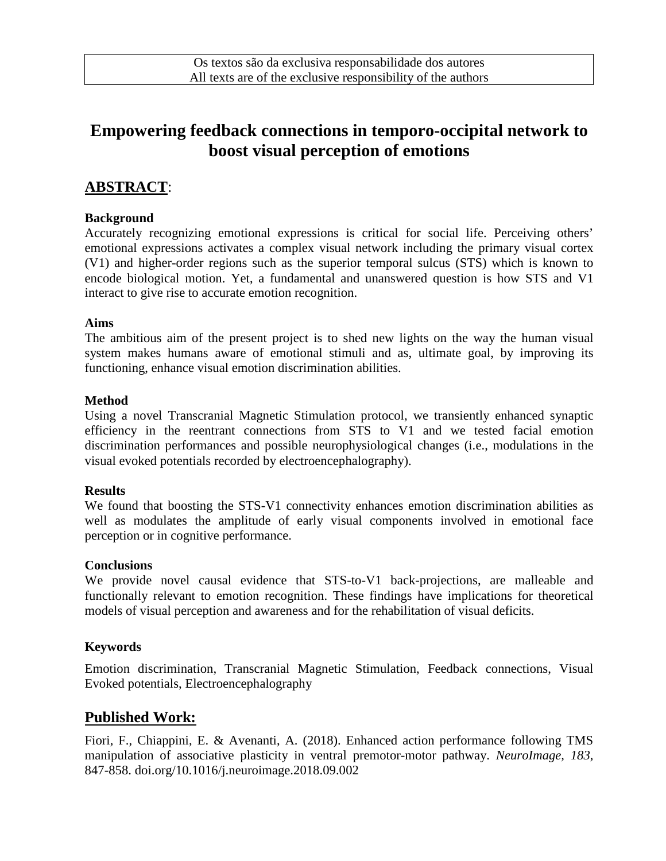# **Empowering feedback connections in temporo-occipital network to boost visual perception of emotions**

# **ABSTRACT**:

## **Background**

Accurately recognizing emotional expressions is critical for social life. Perceiving others' emotional expressions activates a complex visual network including the primary visual cortex (V1) and higher-order regions such as the superior temporal sulcus (STS) which is known to encode biological motion. Yet, a fundamental and unanswered question is how STS and V1 interact to give rise to accurate emotion recognition.

### **Aims**

The ambitious aim of the present project is to shed new lights on the way the human visual system makes humans aware of emotional stimuli and as, ultimate goal, by improving its functioning, enhance visual emotion discrimination abilities.

### **Method**

Using a novel Transcranial Magnetic Stimulation protocol, we transiently enhanced synaptic efficiency in the reentrant connections from STS to V1 and we tested facial emotion discrimination performances and possible neurophysiological changes (i.e., modulations in the visual evoked potentials recorded by electroencephalography).

#### **Results**

We found that boosting the STS-V1 connectivity enhances emotion discrimination abilities as well as modulates the amplitude of early visual components involved in emotional face perception or in cognitive performance.

#### **Conclusions**

We provide novel causal evidence that STS-to-V1 back-projections, are malleable and functionally relevant to emotion recognition. These findings have implications for theoretical models of visual perception and awareness and for the rehabilitation of visual deficits.

## **Keywords**

Emotion discrimination, Transcranial Magnetic Stimulation, Feedback connections, Visual Evoked potentials, Electroencephalography

# **Published Work:**

Fiori, F., Chiappini, E. & Avenanti, A. (2018). Enhanced action performance following TMS manipulation of associative plasticity in ventral premotor-motor pathway. *NeuroImage, 183*, 847-858. doi.org/10.1016/j.neuroimage.2018.09.002